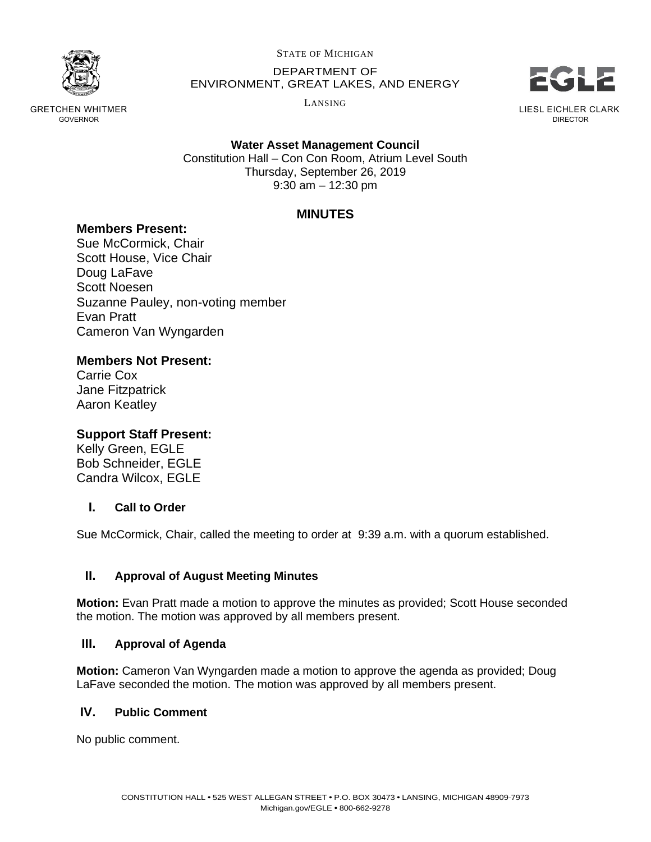

STATE OF MICHIGAN

DEPARTMENT OF ENVIRONMENT, GREAT LAKES, AND ENERGY

LANSING



GRETCHEN WHITMER GOVERNOR

### **Water Asset Management Council**

Constitution Hall – Con Con Room, Atrium Level South Thursday, September 26, 2019 9:30 am – 12:30 pm

# **MINUTES**

### **Members Present:**

Sue McCormick, Chair Scott House, Vice Chair Doug LaFave Scott Noesen Suzanne Pauley, non-voting member Evan Pratt Cameron Van Wyngarden

## **Members Not Present:**

Carrie Cox Jane Fitzpatrick Aaron Keatley

# **Support Staff Present:**

Kelly Green, EGLE Bob Schneider, EGLE Candra Wilcox, EGLE

### **I. Call to Order**

Sue McCormick, Chair, called the meeting to order at 9:39 a.m. with a quorum established.

### **II. Approval of August Meeting Minutes**

**Motion:** Evan Pratt made a motion to approve the minutes as provided; Scott House seconded the motion. The motion was approved by all members present.

### **III. Approval of Agenda**

**Motion:** Cameron Van Wyngarden made a motion to approve the agenda as provided; Doug LaFave seconded the motion. The motion was approved by all members present.

### **IV. Public Comment**

No public comment.